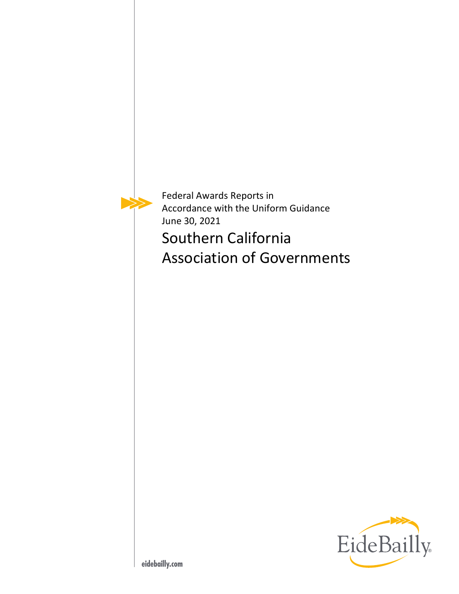

Federal Awards Reports in Accordance with the Uniform Guidance June 30, 2021

Southern California Association of Governments

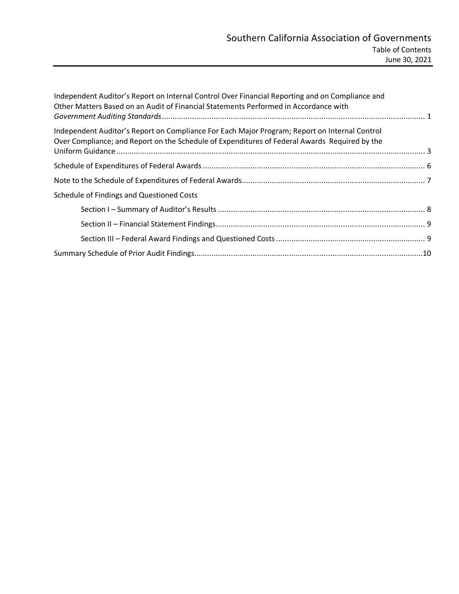| Independent Auditor's Report on Internal Control Over Financial Reporting and on Compliance and<br>Other Matters Based on an Audit of Financial Statements Performed in Accordance with        |  |
|------------------------------------------------------------------------------------------------------------------------------------------------------------------------------------------------|--|
| Independent Auditor's Report on Compliance For Each Major Program; Report on Internal Control<br>Over Compliance; and Report on the Schedule of Expenditures of Federal Awards Required by the |  |
|                                                                                                                                                                                                |  |
|                                                                                                                                                                                                |  |
| Schedule of Findings and Questioned Costs                                                                                                                                                      |  |
|                                                                                                                                                                                                |  |
|                                                                                                                                                                                                |  |
|                                                                                                                                                                                                |  |
|                                                                                                                                                                                                |  |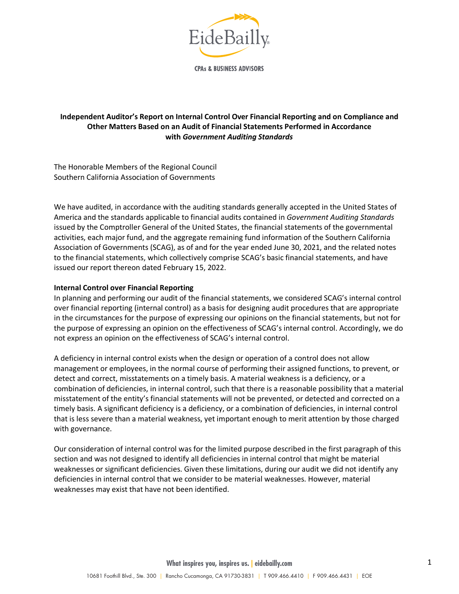

**CPAs & BUSINESS ADVISORS** 

### **Independent Auditor's Report on Internal Control Over Financial Reporting and on Compliance and Other Matters Based on an Audit of Financial Statements Performed in Accordance with** *Government Auditing Standards*

The Honorable Members of the Regional Council Southern California Association of Governments

We have audited, in accordance with the auditing standards generally accepted in the United States of America and the standards applicable to financial audits contained in *Government Auditing Standards* issued by the Comptroller General of the United States, the financial statements of the governmental activities, each major fund, and the aggregate remaining fund information of the Southern California Association of Governments (SCAG), as of and for the year ended June 30, 2021, and the related notes to the financial statements, which collectively comprise SCAG's basic financial statements, and have issued our report thereon dated February 15, 2022.

### **Internal Control over Financial Reporting**

In planning and performing our audit of the financial statements, we considered SCAG's internal control over financial reporting (internal control) as a basis for designing audit procedures that are appropriate in the circumstances for the purpose of expressing our opinions on the financial statements, but not for the purpose of expressing an opinion on the effectiveness of SCAG's internal control. Accordingly, we do not express an opinion on the effectiveness of SCAG's internal control.

A deficiency in internal control exists when the design or operation of a control does not allow management or employees, in the normal course of performing their assigned functions, to prevent, or detect and correct, misstatements on a timely basis. A material weakness is a deficiency, or a combination of deficiencies, in internal control, such that there is a reasonable possibility that a material misstatement of the entity's financial statements will not be prevented, or detected and corrected on a timely basis. A significant deficiency is a deficiency, or a combination of deficiencies, in internal control that is less severe than a material weakness, yet important enough to merit attention by those charged with governance.

Our consideration of internal control was for the limited purpose described in the first paragraph of this section and was not designed to identify all deficiencies in internal control that might be material weaknesses or significant deficiencies. Given these limitations, during our audit we did not identify any deficiencies in internal control that we consider to be material weaknesses. However, material weaknesses may exist that have not been identified.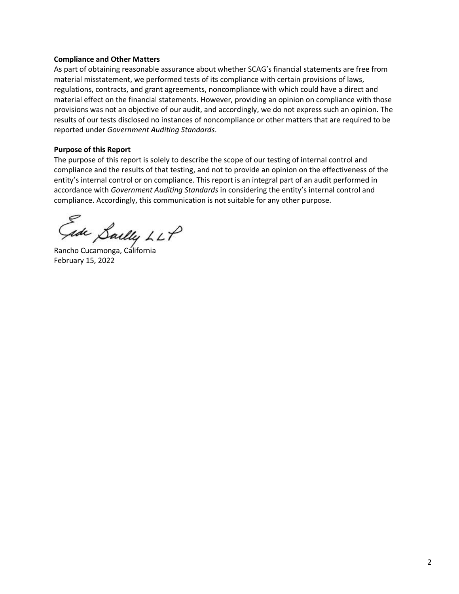#### **Compliance and Other Matters**

As part of obtaining reasonable assurance about whether SCAG's financial statements are free from material misstatement, we performed tests of its compliance with certain provisions of laws, regulations, contracts, and grant agreements, noncompliance with which could have a direct and material effect on the financial statements. However, providing an opinion on compliance with those provisions was not an objective of our audit, and accordingly, we do not express such an opinion. The results of our tests disclosed no instances of noncompliance or other matters that are required to be reported under *Government Auditing Standards*.

#### **Purpose of this Report**

The purpose of this report is solely to describe the scope of our testing of internal control and compliance and the results of that testing, and not to provide an opinion on the effectiveness of the entity's internal control or on compliance. This report is an integral part of an audit performed in accordance with *Government Auditing Standards* in considering the entity's internal control and compliance. Accordingly, this communication is not suitable for any other purpose.

Sally LLP<br>Rancho Cucamonga, California

February 15, 2022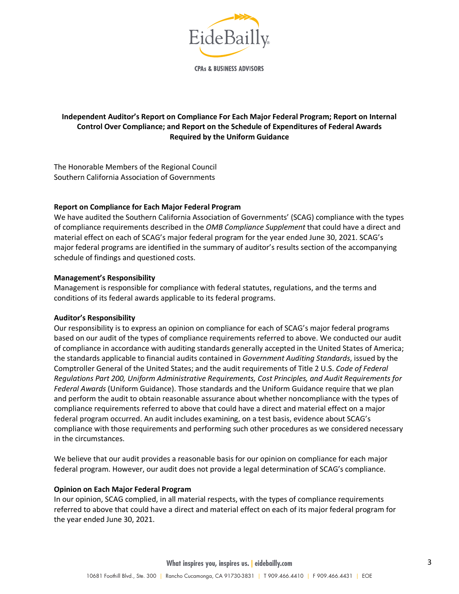

**CPAs & BUSINESS ADVISORS** 

### **Independent Auditor's Report on Compliance For Each Major Federal Program; Report on Internal Control Over Compliance; and Report on the Schedule of Expenditures of Federal Awards Required by the Uniform Guidance**

The Honorable Members of the Regional Council Southern California Association of Governments

### **Report on Compliance for Each Major Federal Program**

We have audited the Southern California Association of Governments' (SCAG) compliance with the types of compliance requirements described in the *OMB Compliance Supplement* that could have a direct and material effect on each of SCAG's major federal program for the year ended June 30, 2021. SCAG's major federal programs are identified in the summary of auditor's results section of the accompanying schedule of findings and questioned costs.

#### **Management's Responsibility**

Management is responsible for compliance with federal statutes, regulations, and the terms and conditions of its federal awards applicable to its federal programs.

#### **Auditor's Responsibility**

Our responsibility is to express an opinion on compliance for each of SCAG's major federal programs based on our audit of the types of compliance requirements referred to above. We conducted our audit of compliance in accordance with auditing standards generally accepted in the United States of America; the standards applicable to financial audits contained in *Government Auditing Standards*, issued by the Comptroller General of the United States; and the audit requirements of Title 2 U.S. *Code of Federal Regulations Part 200, Uniform Administrative Requirements, Cost Principles, and Audit Requirements for Federal Awards* (Uniform Guidance). Those standards and the Uniform Guidance require that we plan and perform the audit to obtain reasonable assurance about whether noncompliance with the types of compliance requirements referred to above that could have a direct and material effect on a major federal program occurred. An audit includes examining, on a test basis, evidence about SCAG's compliance with those requirements and performing such other procedures as we considered necessary in the circumstances.

We believe that our audit provides a reasonable basis for our opinion on compliance for each major federal program. However, our audit does not provide a legal determination of SCAG's compliance.

#### **Opinion on Each Major Federal Program**

In our opinion, SCAG complied, in all material respects, with the types of compliance requirements referred to above that could have a direct and material effect on each of its major federal program for the year ended June 30, 2021.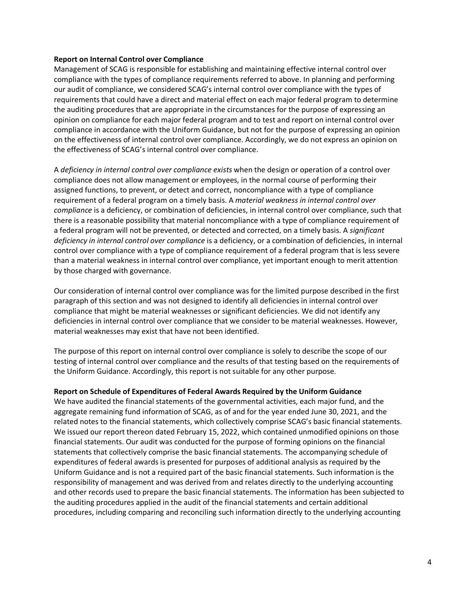#### **Report on Internal Control over Compliance**

Management of SCAG is responsible for establishing and maintaining effective internal control over compliance with the types of compliance requirements referred to above. In planning and performing our audit of compliance, we considered SCAG's internal control over compliance with the types of requirements that could have a direct and material effect on each major federal program to determine the auditing procedures that are appropriate in the circumstances for the purpose of expressing an opinion on compliance for each major federal program and to test and report on internal control over compliance in accordance with the Uniform Guidance, but not for the purpose of expressing an opinion on the effectiveness of internal control over compliance. Accordingly, we do not express an opinion on the effectiveness of SCAG's internal control over compliance.

A *deficiency in internal control over compliance exists* when the design or operation of a control over compliance does not allow management or employees, in the normal course of performing their assigned functions, to prevent, or detect and correct, noncompliance with a type of compliance requirement of a federal program on a timely basis. A *material weakness in internal control over compliance* is a deficiency, or combination of deficiencies, in internal control over compliance, such that there is a reasonable possibility that material noncompliance with a type of compliance requirement of a federal program will not be prevented, or detected and corrected, on a timely basis. A *significant deficiency in internal control over compliance* is a deficiency, or a combination of deficiencies, in internal control over compliance with a type of compliance requirement of a federal program that is less severe than a material weakness in internal control over compliance, yet important enough to merit attention by those charged with governance.

Our consideration of internal control over compliance was for the limited purpose described in the first paragraph of this section and was not designed to identify all deficiencies in internal control over compliance that might be material weaknesses or significant deficiencies. We did not identify any deficiencies in internal control over compliance that we consider to be material weaknesses. However, material weaknesses may exist that have not been identified.

The purpose of this report on internal control over compliance is solely to describe the scope of our testing of internal control over compliance and the results of that testing based on the requirements of the Uniform Guidance. Accordingly, this report is not suitable for any other purpose.

#### **Report on Schedule of Expenditures of Federal Awards Required by the Uniform Guidance**

We have audited the financial statements of the governmental activities, each major fund, and the aggregate remaining fund information of SCAG, as of and for the year ended June 30, 2021, and the related notes to the financial statements, which collectively comprise SCAG's basic financial statements. We issued our report thereon dated February 15, 2022, which contained unmodified opinions on those financial statements. Our audit was conducted for the purpose of forming opinions on the financial statements that collectively comprise the basic financial statements. The accompanying schedule of expenditures of federal awards is presented for purposes of additional analysis as required by the Uniform Guidance and is not a required part of the basic financial statements. Such information is the responsibility of management and was derived from and relates directly to the underlying accounting and other records used to prepare the basic financial statements. The information has been subjected to the auditing procedures applied in the audit of the financial statements and certain additional procedures, including comparing and reconciling such information directly to the underlying accounting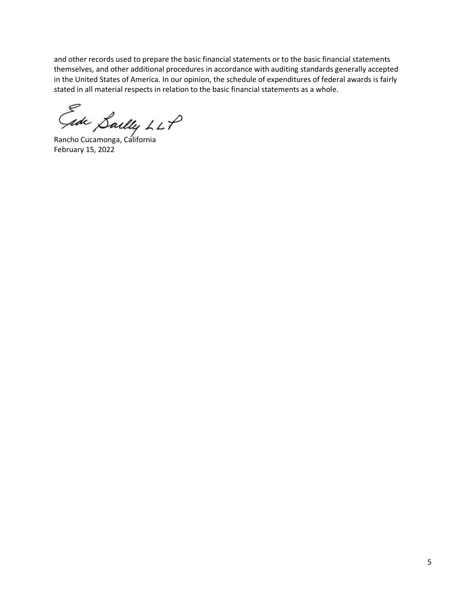and other records used to prepare the basic financial statements or to the basic financial statements themselves, and other additional procedures in accordance with auditing standards generally accepted in the United States of America. In our opinion, the schedule of expenditures of federal awards is fairly stated in all material respects in relation to the basic financial statements as a whole.

Sally LLP<br>Rancho Cucamonga, California

February 15, 2022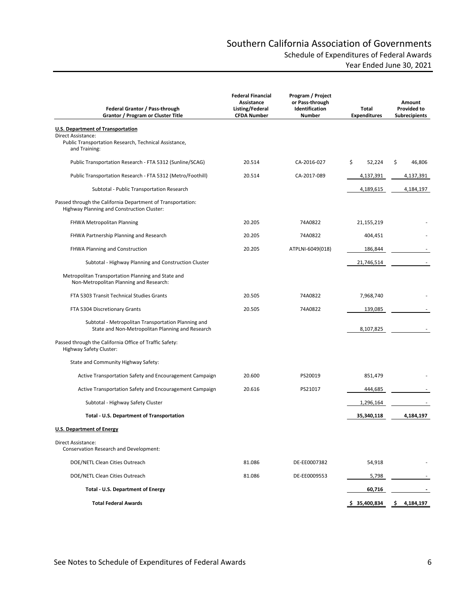# Schedule of Expenditures of Federal Awards

# Year Ended June 30, 2021

| Federal Grantor / Pass-through<br>Grantor / Program or Cluster Title                                      | <b>Federal Financial</b><br>Assistance<br>Listing/Federal<br><b>CFDA Number</b> | Program / Project<br>or Pass-through<br>Identification<br><b>Number</b> | Total<br><b>Expenditures</b> | Amount<br><b>Provided to</b><br><b>Subrecipients</b> |
|-----------------------------------------------------------------------------------------------------------|---------------------------------------------------------------------------------|-------------------------------------------------------------------------|------------------------------|------------------------------------------------------|
| U.S. Department of Transportation                                                                         |                                                                                 |                                                                         |                              |                                                      |
| Direct Assistance:<br>Public Transportation Research, Technical Assistance,<br>and Training:              |                                                                                 |                                                                         |                              |                                                      |
| Public Transportation Research - FTA 5312 (Sunline/SCAG)                                                  | 20.514                                                                          | CA-2016-027                                                             | \$<br>52,224                 | \$<br>46,806                                         |
| Public Transportation Research - FTA 5312 (Metro/Foothill)                                                | 20.514                                                                          | CA-2017-089                                                             | 4,137,391                    | 4,137,391                                            |
| Subtotal - Public Transportation Research                                                                 |                                                                                 |                                                                         | 4,189,615                    | 4,184,197                                            |
| Passed through the California Department of Transportation:<br>Highway Planning and Construction Cluster: |                                                                                 |                                                                         |                              |                                                      |
| FHWA Metropolitan Planning                                                                                | 20.205                                                                          | 74A0822                                                                 | 21,155,219                   |                                                      |
| FHWA Partnership Planning and Research                                                                    | 20.205                                                                          | 74A0822                                                                 | 404,451                      |                                                      |
| FHWA Planning and Construction                                                                            | 20.205                                                                          | ATPLNI-6049(018)                                                        | 186,844                      |                                                      |
| Subtotal - Highway Planning and Construction Cluster                                                      |                                                                                 |                                                                         | 21,746,514                   |                                                      |
| Metropolitan Transportation Planning and State and<br>Non-Metropolitan Planning and Research:             |                                                                                 |                                                                         |                              |                                                      |
| FTA 5303 Transit Technical Studies Grants                                                                 | 20.505                                                                          | 74A0822                                                                 | 7,968,740                    |                                                      |
| FTA 5304 Discretionary Grants                                                                             | 20.505                                                                          | 74A0822                                                                 | 139,085                      |                                                      |
| Subtotal - Metropolitan Transportation Planning and<br>State and Non-Metropolitan Planning and Research   |                                                                                 |                                                                         | 8,107,825                    |                                                      |
| Passed through the California Office of Traffic Safety:<br>Highway Safety Cluster:                        |                                                                                 |                                                                         |                              |                                                      |
| State and Community Highway Safety:                                                                       |                                                                                 |                                                                         |                              |                                                      |
| Active Transportation Safety and Encouragement Campaign                                                   | 20.600                                                                          | PS20019                                                                 | 851,479                      |                                                      |
| Active Transportation Safety and Encouragement Campaign                                                   | 20.616                                                                          | PS21017                                                                 | 444,685                      |                                                      |
| Subtotal - Highway Safety Cluster                                                                         |                                                                                 |                                                                         | 1,296,164                    |                                                      |
| Total - U.S. Department of Transportation                                                                 |                                                                                 |                                                                         | 35,340,118                   | 4,184,197                                            |
| <b>U.S. Department of Energy</b>                                                                          |                                                                                 |                                                                         |                              |                                                      |
| <b>Direct Assistance:</b><br>Conservation Research and Development:                                       |                                                                                 |                                                                         |                              |                                                      |
| DOE/NETL Clean Cities Outreach                                                                            | 81.086                                                                          | DE-EE0007382                                                            | 54,918                       |                                                      |
| DOE/NETL Clean Cities Outreach                                                                            | 81.086                                                                          | DE-EE0009553                                                            | 5,798                        |                                                      |
| <b>Total - U.S. Department of Energy</b>                                                                  |                                                                                 |                                                                         | 60,716                       |                                                      |
| <b>Total Federal Awards</b>                                                                               |                                                                                 |                                                                         | \$35,400,834                 | 4,184,197<br>\$.                                     |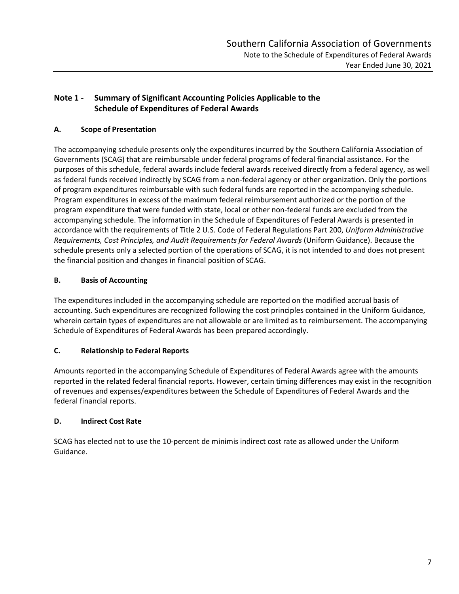# **Note 1 - Summary of Significant Accounting Policies Applicable to the Schedule of Expenditures of Federal Awards**

# **A. Scope of Presentation**

The accompanying schedule presents only the expenditures incurred by the Southern California Association of Governments (SCAG) that are reimbursable under federal programs of federal financial assistance. For the purposes of this schedule, federal awards include federal awards received directly from a federal agency, as well as federal funds received indirectly by SCAG from a non-federal agency or other organization. Only the portions of program expenditures reimbursable with such federal funds are reported in the accompanying schedule. Program expenditures in excess of the maximum federal reimbursement authorized or the portion of the program expenditure that were funded with state, local or other non-federal funds are excluded from the accompanying schedule. The information in the Schedule of Expenditures of Federal Awards is presented in accordance with the requirements of Title 2 U.S. Code of Federal Regulations Part 200, *Uniform Administrative Requirements, Cost Principles, and Audit Requirements for Federal Awards* (Uniform Guidance). Because the schedule presents only a selected portion of the operations of SCAG, it is not intended to and does not present the financial position and changes in financial position of SCAG.

# **B. Basis of Accounting**

The expenditures included in the accompanying schedule are reported on the modified accrual basis of accounting. Such expenditures are recognized following the cost principles contained in the Uniform Guidance, wherein certain types of expenditures are not allowable or are limited as to reimbursement. The accompanying Schedule of Expenditures of Federal Awards has been prepared accordingly.

## **C. Relationship to Federal Reports**

Amounts reported in the accompanying Schedule of Expenditures of Federal Awards agree with the amounts reported in the related federal financial reports. However, certain timing differences may exist in the recognition of revenues and expenses/expenditures between the Schedule of Expenditures of Federal Awards and the federal financial reports.

## **D. Indirect Cost Rate**

SCAG has elected not to use the 10-percent de minimis indirect cost rate as allowed under the Uniform Guidance.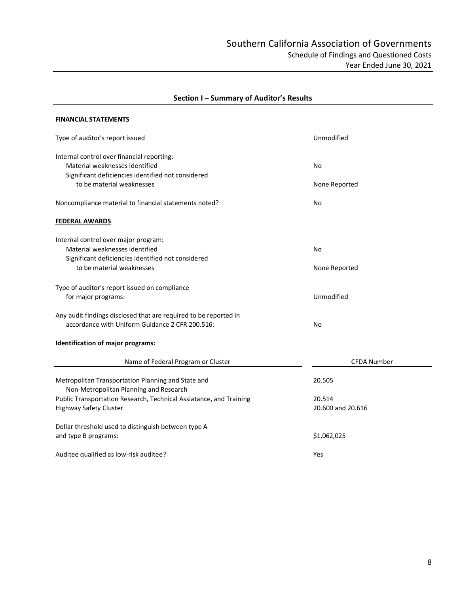| Section I - Summary of Auditor's Results                                                                                                                                                            |                                       |  |  |  |
|-----------------------------------------------------------------------------------------------------------------------------------------------------------------------------------------------------|---------------------------------------|--|--|--|
| <b>FINANCIAL STATEMENTS</b>                                                                                                                                                                         |                                       |  |  |  |
| Type of auditor's report issued                                                                                                                                                                     | Unmodified                            |  |  |  |
| Internal control over financial reporting:<br>Material weaknesses identified<br>Significant deficiencies identified not considered<br>to be material weaknesses                                     | No<br>None Reported                   |  |  |  |
| Noncompliance material to financial statements noted?                                                                                                                                               | No                                    |  |  |  |
| <b>FEDERAL AWARDS</b>                                                                                                                                                                               |                                       |  |  |  |
| Internal control over major program:<br>Material weaknesses identified<br>Significant deficiencies identified not considered<br>to be material weaknesses                                           | No<br>None Reported                   |  |  |  |
| Type of auditor's report issued on compliance<br>for major programs:                                                                                                                                | Unmodified                            |  |  |  |
| Any audit findings disclosed that are required to be reported in<br>accordance with Uniform Guidance 2 CFR 200.516:                                                                                 | No                                    |  |  |  |
| Identification of major programs:                                                                                                                                                                   |                                       |  |  |  |
| Name of Federal Program or Cluster                                                                                                                                                                  | <b>CFDA Number</b>                    |  |  |  |
| Metropolitan Transportation Planning and State and<br>Non-Metropolitan Planning and Research<br>Public Transportation Research, Technical Assiatance, and Training<br><b>Highway Safety Cluster</b> | 20.505<br>20.514<br>20.600 and 20.616 |  |  |  |
| Dollar threshold used to distinguish between type A<br>and type B programs:                                                                                                                         | \$1,062,025                           |  |  |  |
| Auditee qualified as low-risk auditee?                                                                                                                                                              | Yes                                   |  |  |  |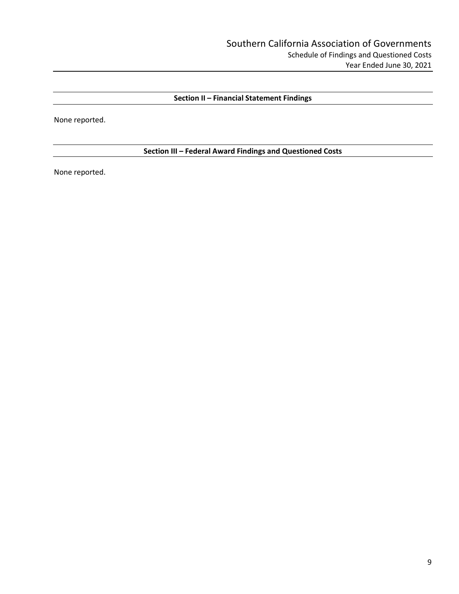### **Section II – Financial Statement Findings**

None reported.

**Section III – Federal Award Findings and Questioned Costs** 

None reported.